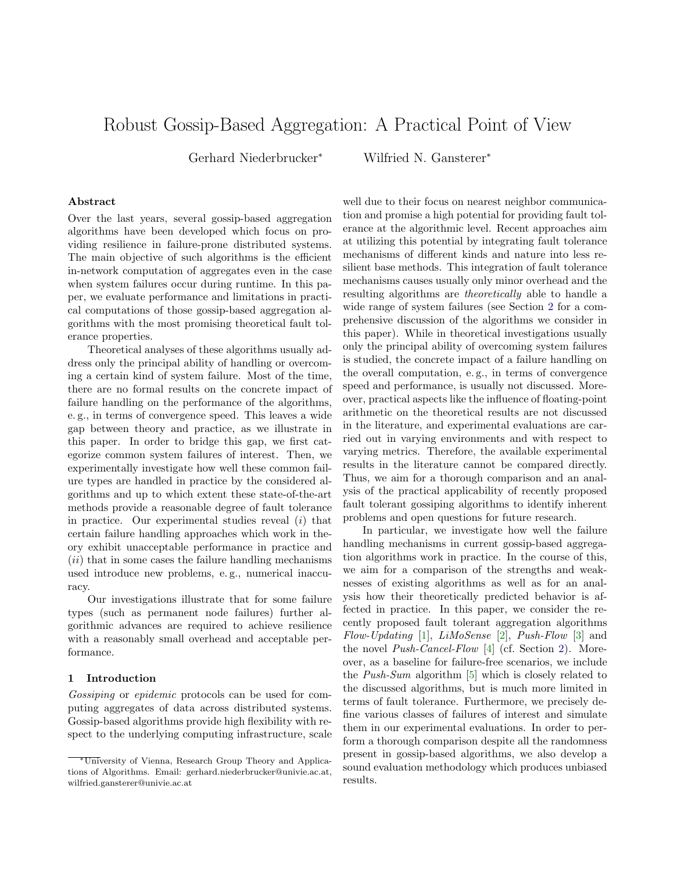# Robust Gossip-Based Aggregation: A Practical Point of View

Gerhard Niederbrucker<sup>∗</sup> Wilfried N. Gansterer<sup>∗</sup>

## Abstract

Over the last years, several gossip-based aggregation algorithms have been developed which focus on providing resilience in failure-prone distributed systems. The main objective of such algorithms is the efficient in-network computation of aggregates even in the case when system failures occur during runtime. In this paper, we evaluate performance and limitations in practical computations of those gossip-based aggregation algorithms with the most promising theoretical fault tolerance properties.

Theoretical analyses of these algorithms usually address only the principal ability of handling or overcoming a certain kind of system failure. Most of the time, there are no formal results on the concrete impact of failure handling on the performance of the algorithms, e. g., in terms of convergence speed. This leaves a wide gap between theory and practice, as we illustrate in this paper. In order to bridge this gap, we first categorize common system failures of interest. Then, we experimentally investigate how well these common failure types are handled in practice by the considered algorithms and up to which extent these state-of-the-art methods provide a reasonable degree of fault tolerance in practice. Our experimental studies reveal  $(i)$  that certain failure handling approaches which work in theory exhibit unacceptable performance in practice and  $(ii)$  that in some cases the failure handling mechanisms used introduce new problems, e. g., numerical inaccuracy.

Our investigations illustrate that for some failure types (such as permanent node failures) further algorithmic advances are required to achieve resilience with a reasonably small overhead and acceptable performance.

#### 1 Introduction

Gossiping or epidemic protocols can be used for computing aggregates of data across distributed systems. Gossip-based algorithms provide high flexibility with respect to the underlying computing infrastructure, scale

well due to their focus on nearest neighbor communication and promise a high potential for providing fault tolerance at the algorithmic level. Recent approaches aim at utilizing this potential by integrating fault tolerance mechanisms of different kinds and nature into less resilient base methods. This integration of fault tolerance mechanisms causes usually only minor overhead and the resulting algorithms are theoretically able to handle a wide range of system failures (see Section [2](#page-1-0) for a comprehensive discussion of the algorithms we consider in this paper). While in theoretical investigations usually only the principal ability of overcoming system failures is studied, the concrete impact of a failure handling on the overall computation, e. g., in terms of convergence speed and performance, is usually not discussed. Moreover, practical aspects like the influence of floating-point arithmetic on the theoretical results are not discussed in the literature, and experimental evaluations are carried out in varying environments and with respect to varying metrics. Therefore, the available experimental results in the literature cannot be compared directly. Thus, we aim for a thorough comparison and an analysis of the practical applicability of recently proposed fault tolerant gossiping algorithms to identify inherent problems and open questions for future research.

In particular, we investigate how well the failure handling mechanisms in current gossip-based aggregation algorithms work in practice. In the course of this, we aim for a comparison of the strengths and weaknesses of existing algorithms as well as for an analysis how their theoretically predicted behavior is affected in practice. In this paper, we consider the recently proposed fault tolerant aggregation algorithms Flow-Updating  $[1]$ , LiMoSense  $[2]$ , Push-Flow  $[3]$  and the novel Push-Cancel-Flow [\[4\]](#page-12-3) (cf. Section [2\)](#page-1-0). Moreover, as a baseline for failure-free scenarios, we include the Push-Sum algorithm [\[5\]](#page-12-4) which is closely related to the discussed algorithms, but is much more limited in terms of fault tolerance. Furthermore, we precisely define various classes of failures of interest and simulate them in our experimental evaluations. In order to perform a thorough comparison despite all the randomness present in gossip-based algorithms, we also develop a sound evaluation methodology which produces unbiased results.

<sup>∗</sup>University of Vienna, Research Group Theory and Applications of Algorithms. Email: gerhard.niederbrucker@univie.ac.at, wilfried.gansterer@univie.ac.at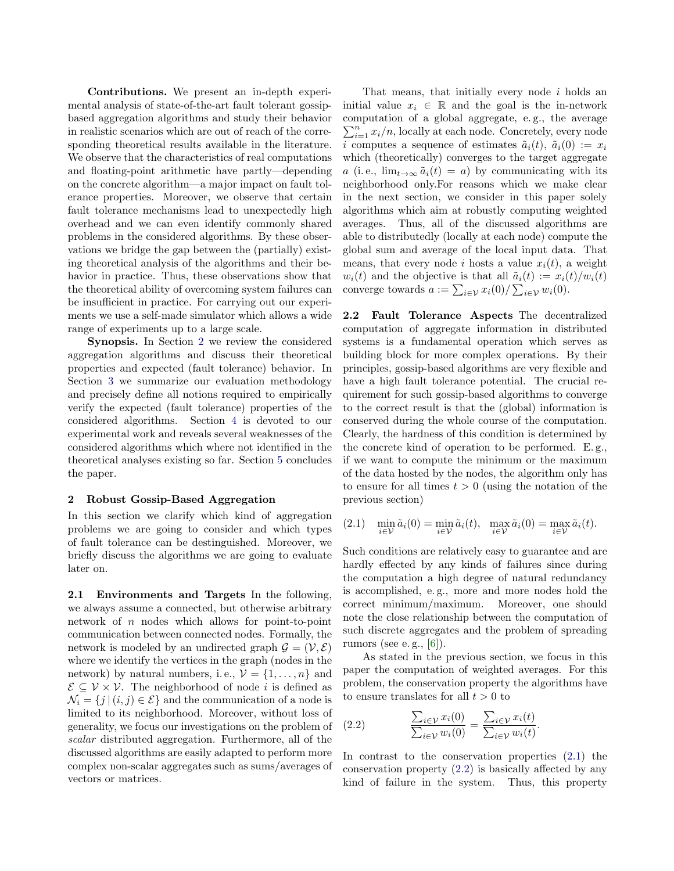Contributions. We present an in-depth experimental analysis of state-of-the-art fault tolerant gossipbased aggregation algorithms and study their behavior in realistic scenarios which are out of reach of the corresponding theoretical results available in the literature. We observe that the characteristics of real computations and floating-point arithmetic have partly—depending on the concrete algorithm—a major impact on fault tolerance properties. Moreover, we observe that certain fault tolerance mechanisms lead to unexpectedly high overhead and we can even identify commonly shared problems in the considered algorithms. By these observations we bridge the gap between the (partially) existing theoretical analysis of the algorithms and their behavior in practice. Thus, these observations show that the theoretical ability of overcoming system failures can be insufficient in practice. For carrying out our experiments we use a self-made simulator which allows a wide range of experiments up to a large scale.

Synopsis. In Section [2](#page-1-0) we review the considered aggregation algorithms and discuss their theoretical properties and expected (fault tolerance) behavior. In Section [3](#page-4-0) we summarize our evaluation methodology and precisely define all notions required to empirically verify the expected (fault tolerance) properties of the considered algorithms. Section [4](#page-10-0) is devoted to our experimental work and reveals several weaknesses of the considered algorithms which where not identified in the theoretical analyses existing so far. Section [5](#page-11-0) concludes the paper.

# <span id="page-1-0"></span>2 Robust Gossip-Based Aggregation

In this section we clarify which kind of aggregation problems we are going to consider and which types of fault tolerance can be destinguished. Moreover, we briefly discuss the algorithms we are going to evaluate later on.

2.1 Environments and Targets In the following, we always assume a connected, but otherwise arbitrary network of n nodes which allows for point-to-point communication between connected nodes. Formally, the network is modeled by an undirected graph  $\mathcal{G} = (\mathcal{V}, \mathcal{E})$ where we identify the vertices in the graph (nodes in the network) by natural numbers, i.e.,  $\mathcal{V} = \{1, \ldots, n\}$  and  $\mathcal{E} \subseteq \mathcal{V} \times \mathcal{V}$ . The neighborhood of node *i* is defined as  $\mathcal{N}_i = \{j \mid (i, j) \in \mathcal{E}\}\$ and the communication of a node is limited to its neighborhood. Moreover, without loss of generality, we focus our investigations on the problem of scalar distributed aggregation. Furthermore, all of the discussed algorithms are easily adapted to perform more complex non-scalar aggregates such as sums/averages of vectors or matrices.

That means, that initially every node i holds an initial value  $x_i \in \mathbb{R}$  and the goal is the in-network computation of a global aggregate, e. g., the average  $\sum_{i=1}^{n} x_i/n$ , locally at each node. Concretely, every node i computes a sequence of estimates  $\tilde{a}_i(t)$ ,  $\tilde{a}_i(0) := x_i$ which (theoretically) converges to the target aggregate a (i.e.,  $\lim_{t\to\infty} \tilde{a}_i(t) = a$ ) by communicating with its neighborhood only.For reasons which we make clear in the next section, we consider in this paper solely algorithms which aim at robustly computing weighted averages. Thus, all of the discussed algorithms are able to distributedly (locally at each node) compute the global sum and average of the local input data. That means, that every node i hosts a value  $x_i(t)$ , a weight  $w_i(t)$  and the objective is that all  $\tilde{a}_i(t) := x_i(t)/w_i(t)$ converge towards  $a := \sum_{i \in \mathcal{V}} x_i(0) / \sum_{i \in \mathcal{V}} w_i(0)$ .

2.2 Fault Tolerance Aspects The decentralized computation of aggregate information in distributed systems is a fundamental operation which serves as building block for more complex operations. By their principles, gossip-based algorithms are very flexible and have a high fault tolerance potential. The crucial requirement for such gossip-based algorithms to converge to the correct result is that the (global) information is conserved during the whole course of the computation. Clearly, the hardness of this condition is determined by the concrete kind of operation to be performed. E. g., if we want to compute the minimum or the maximum of the data hosted by the nodes, the algorithm only has to ensure for all times  $t > 0$  (using the notation of the previous section)

<span id="page-1-1"></span>
$$
(2.1) \quad \min_{i \in \mathcal{V}} \tilde{a}_i(0) = \min_{i \in \mathcal{V}} \tilde{a}_i(t), \quad \max_{i \in \mathcal{V}} \tilde{a}_i(0) = \max_{i \in \mathcal{V}} \tilde{a}_i(t).
$$

Such conditions are relatively easy to guarantee and are hardly effected by any kinds of failures since during the computation a high degree of natural redundancy is accomplished, e. g., more and more nodes hold the correct minimum/maximum. Moreover, one should note the close relationship between the computation of such discrete aggregates and the problem of spreading rumors (see e.g.,  $[6]$ ).

As stated in the previous section, we focus in this paper the computation of weighted averages. For this problem, the conservation property the algorithms have to ensure translates for all  $t > 0$  to

<span id="page-1-2"></span>(2.2) 
$$
\frac{\sum_{i\in\mathcal{V}}x_i(0)}{\sum_{i\in\mathcal{V}}w_i(0)}=\frac{\sum_{i\in\mathcal{V}}x_i(t)}{\sum_{i\in\mathcal{V}}w_i(t)}.
$$

In contrast to the conservation properties [\(2.1\)](#page-1-1) the conservation property [\(2.2\)](#page-1-2) is basically affected by any kind of failure in the system. Thus, this property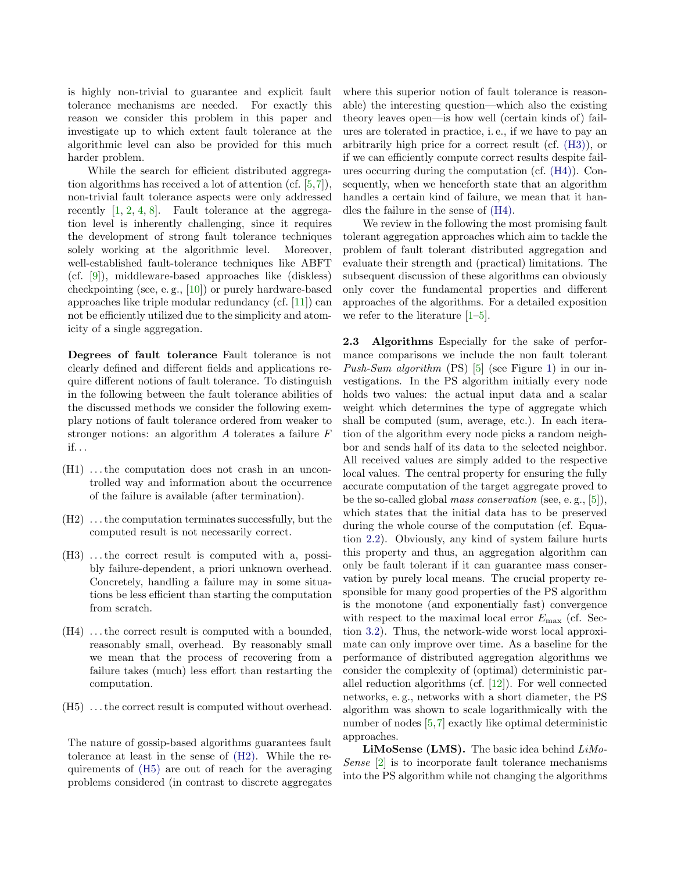is highly non-trivial to guarantee and explicit fault tolerance mechanisms are needed. For exactly this reason we consider this problem in this paper and investigate up to which extent fault tolerance at the algorithmic level can also be provided for this much harder problem.

While the search for efficient distributed aggregation algorithms has received a lot of attention (cf. [\[5,](#page-12-4)[7\]](#page-12-6)), non-trivial fault tolerance aspects were only addressed recently  $[1, 2, 4, 8]$  $[1, 2, 4, 8]$  $[1, 2, 4, 8]$  $[1, 2, 4, 8]$  $[1, 2, 4, 8]$  $[1, 2, 4, 8]$  $[1, 2, 4, 8]$ . Fault tolerance at the aggregation level is inherently challenging, since it requires the development of strong fault tolerance techniques solely working at the algorithmic level. Moreover, well-established fault-tolerance techniques like ABFT (cf. [\[9\]](#page-12-8)), middleware-based approaches like (diskless) checkpointing (see, e. g., [\[10\]](#page-12-9)) or purely hardware-based approaches like triple modular redundancy (cf. [\[11\]](#page-12-10)) can not be efficiently utilized due to the simplicity and atomicity of a single aggregation.

Degrees of fault tolerance Fault tolerance is not clearly defined and different fields and applications require different notions of fault tolerance. To distinguish in the following between the fault tolerance abilities of the discussed methods we consider the following exemplary notions of fault tolerance ordered from weaker to stronger notions: an algorithm A tolerates a failure F if. . .

- $(H1)$ ... the computation does not crash in an uncontrolled way and information about the occurrence of the failure is available (after termination).
- <span id="page-2-0"></span>(H2) . . . the computation terminates successfully, but the computed result is not necessarily correct.
- <span id="page-2-2"></span>(H3) ... the correct result is computed with a, possibly failure-dependent, a priori unknown overhead. Concretely, handling a failure may in some situations be less efficient than starting the computation from scratch.
- <span id="page-2-3"></span>(H4) . . . the correct result is computed with a bounded, reasonably small, overhead. By reasonably small we mean that the process of recovering from a failure takes (much) less effort than restarting the computation.
- <span id="page-2-1"></span>(H5) . . . the correct result is computed without overhead.

The nature of gossip-based algorithms guarantees fault tolerance at least in the sense of [\(H2\).](#page-2-0) While the requirements of [\(H5\)](#page-2-1) are out of reach for the averaging problems considered (in contrast to discrete aggregates

where this superior notion of fault tolerance is reasonable) the interesting question—which also the existing theory leaves open—is how well (certain kinds of) failures are tolerated in practice, i. e., if we have to pay an arbitrarily high price for a correct result (cf. [\(H3\)\)](#page-2-2), or if we can efficiently compute correct results despite failures occurring during the computation (cf. [\(H4\)\)](#page-2-3). Consequently, when we henceforth state that an algorithm handles a certain kind of failure, we mean that it handles the failure in the sense of [\(H4\).](#page-2-3)

We review in the following the most promising fault tolerant aggregation approaches which aim to tackle the problem of fault tolerant distributed aggregation and evaluate their strength and (practical) limitations. The subsequent discussion of these algorithms can obviously only cover the fundamental properties and different approaches of the algorithms. For a detailed exposition we refer to the literature [\[1](#page-12-0)[–5\]](#page-12-4).

2.3 Algorithms Especially for the sake of performance comparisons we include the non fault tolerant *Push-Sum algorithm* (PS) [\[5\]](#page-12-4) (see Figure [1\)](#page-3-0) in our investigations. In the PS algorithm initially every node holds two values: the actual input data and a scalar weight which determines the type of aggregate which shall be computed (sum, average, etc.). In each iteration of the algorithm every node picks a random neighbor and sends half of its data to the selected neighbor. All received values are simply added to the respective local values. The central property for ensuring the fully accurate computation of the target aggregate proved to be the so-called global mass conservation (see, e. g., [\[5\]](#page-12-4)), which states that the initial data has to be preserved during the whole course of the computation (cf. Equation [2.2\)](#page-1-2). Obviously, any kind of system failure hurts this property and thus, an aggregation algorithm can only be fault tolerant if it can guarantee mass conservation by purely local means. The crucial property responsible for many good properties of the PS algorithm is the monotone (and exponentially fast) convergence with respect to the maximal local error  $E_{\text{max}}$  (cf. Section [3.2\)](#page-5-0). Thus, the network-wide worst local approximate can only improve over time. As a baseline for the performance of distributed aggregation algorithms we consider the complexity of (optimal) deterministic parallel reduction algorithms (cf. [\[12\]](#page-12-11)). For well connected networks, e. g., networks with a short diameter, the PS algorithm was shown to scale logarithmically with the number of nodes [\[5,](#page-12-4)[7\]](#page-12-6) exactly like optimal deterministic approaches.

LiMoSense (LMS). The basic idea behind LiMo-Sense [\[2\]](#page-12-1) is to incorporate fault tolerance mechanisms into the PS algorithm while not changing the algorithms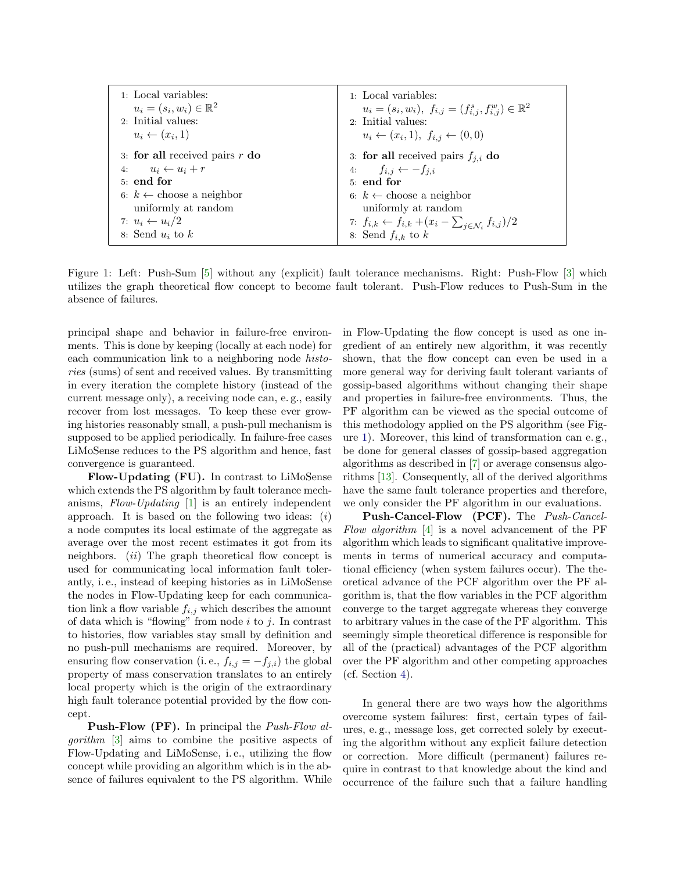| 1: Local variables:                 | 1. Local variables:                                                            |
|-------------------------------------|--------------------------------------------------------------------------------|
| $u_i = (s_i, w_i) \in \mathbb{R}^2$ | $u_i = (s_i, w_i), f_{i,j} = (f_{i,j}^s, f_{i,j}^w) \in \mathbb{R}^2$          |
| 2: Initial values:                  | 2: Initial values:                                                             |
| $u_i \leftarrow (x_i, 1)$           | $u_i \leftarrow (x_i, 1), f_{i,j} \leftarrow (0, 0)$                           |
| 3: for all received pairs $r$ do    | 3: for all received pairs $f_{i,i}$ do                                         |
| 4: $u_i \leftarrow u_i + r$         | 4: $f_{i,j} \leftarrow -f_{j,i}$                                               |
| $5:$ end for                        | $5:$ end for                                                                   |
| 6: $k \leftarrow$ choose a neighbor | 6: $k \leftarrow$ choose a neighbor                                            |
| uniformly at random                 | uniformly at random                                                            |
| 7: $u_i \leftarrow u_i/2$           | 7: $f_{i,k} \leftarrow f_{i,k} + (x_i - \sum_{j \in \mathcal{N}_i} f_{i,j})/2$ |
| 8: Send $u_i$ to $k$                | 8: Send $f_{i,k}$ to k                                                         |

<span id="page-3-0"></span>Figure 1: Left: Push-Sum [\[5\]](#page-12-4) without any (explicit) fault tolerance mechanisms. Right: Push-Flow [\[3\]](#page-12-2) which utilizes the graph theoretical flow concept to become fault tolerant. Push-Flow reduces to Push-Sum in the absence of failures.

principal shape and behavior in failure-free environments. This is done by keeping (locally at each node) for each communication link to a neighboring node *histo*ries (sums) of sent and received values. By transmitting in every iteration the complete history (instead of the current message only), a receiving node can, e. g., easily recover from lost messages. To keep these ever growing histories reasonably small, a push-pull mechanism is supposed to be applied periodically. In failure-free cases LiMoSense reduces to the PS algorithm and hence, fast convergence is guaranteed.

Flow-Updating (FU). In contrast to LiMoSense which extends the PS algorithm by fault tolerance mechanisms, Flow-Updating [\[1\]](#page-12-0) is an entirely independent approach. It is based on the following two ideas:  $(i)$ a node computes its local estimate of the aggregate as average over the most recent estimates it got from its neighbors.  $(ii)$  The graph theoretical flow concept is used for communicating local information fault tolerantly, i. e., instead of keeping histories as in LiMoSense the nodes in Flow-Updating keep for each communication link a flow variable  $f_{i,j}$  which describes the amount of data which is "flowing" from node  $i$  to  $j$ . In contrast to histories, flow variables stay small by definition and no push-pull mechanisms are required. Moreover, by ensuring flow conservation (i. e.,  $f_{i,j} = -f_{j,i}$ ) the global property of mass conservation translates to an entirely local property which is the origin of the extraordinary high fault tolerance potential provided by the flow concept.

Push-Flow (PF). In principal the Push-Flow algorithm [\[3\]](#page-12-2) aims to combine the positive aspects of Flow-Updating and LiMoSense, i. e., utilizing the flow concept while providing an algorithm which is in the absence of failures equivalent to the PS algorithm. While

in Flow-Updating the flow concept is used as one ingredient of an entirely new algorithm, it was recently shown, that the flow concept can even be used in a more general way for deriving fault tolerant variants of gossip-based algorithms without changing their shape and properties in failure-free environments. Thus, the PF algorithm can be viewed as the special outcome of this methodology applied on the PS algorithm (see Figure [1\)](#page-3-0). Moreover, this kind of transformation can e. g., be done for general classes of gossip-based aggregation algorithms as described in [\[7\]](#page-12-6) or average consensus algorithms [\[13\]](#page-12-12). Consequently, all of the derived algorithms have the same fault tolerance properties and therefore, we only consider the PF algorithm in our evaluations.

Push-Cancel-Flow (PCF). The *Push-Cancel-*Flow algorithm  $[4]$  is a novel advancement of the PF algorithm which leads to significant qualitative improvements in terms of numerical accuracy and computational efficiency (when system failures occur). The theoretical advance of the PCF algorithm over the PF algorithm is, that the flow variables in the PCF algorithm converge to the target aggregate whereas they converge to arbitrary values in the case of the PF algorithm. This seemingly simple theoretical difference is responsible for all of the (practical) advantages of the PCF algorithm over the PF algorithm and other competing approaches (cf. Section [4\)](#page-10-0).

In general there are two ways how the algorithms overcome system failures: first, certain types of failures, e. g., message loss, get corrected solely by executing the algorithm without any explicit failure detection or correction. More difficult (permanent) failures require in contrast to that knowledge about the kind and occurrence of the failure such that a failure handling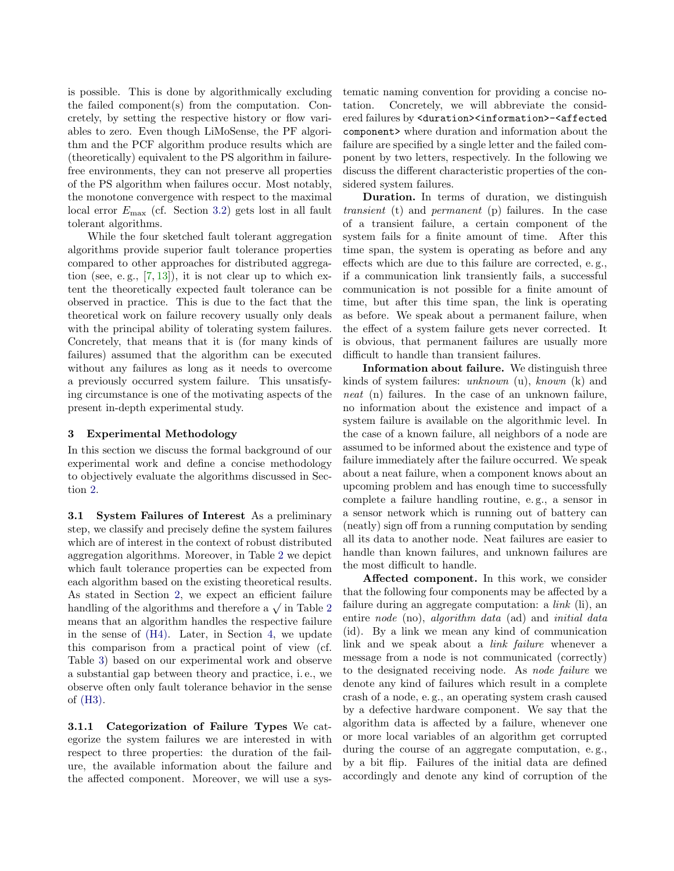is possible. This is done by algorithmically excluding the failed component(s) from the computation. Concretely, by setting the respective history or flow variables to zero. Even though LiMoSense, the PF algorithm and the PCF algorithm produce results which are (theoretically) equivalent to the PS algorithm in failurefree environments, they can not preserve all properties of the PS algorithm when failures occur. Most notably, the monotone convergence with respect to the maximal local error  $E_{\text{max}}$  (cf. Section [3.2\)](#page-5-0) gets lost in all fault tolerant algorithms.

While the four sketched fault tolerant aggregation algorithms provide superior fault tolerance properties compared to other approaches for distributed aggregation (see, e.g.,  $[7, 13]$  $[7, 13]$  $[7, 13]$ ), it is not clear up to which extent the theoretically expected fault tolerance can be observed in practice. This is due to the fact that the theoretical work on failure recovery usually only deals with the principal ability of tolerating system failures. Concretely, that means that it is (for many kinds of failures) assumed that the algorithm can be executed without any failures as long as it needs to overcome a previously occurred system failure. This unsatisfying circumstance is one of the motivating aspects of the present in-depth experimental study.

## <span id="page-4-0"></span>3 Experimental Methodology

In this section we discuss the formal background of our experimental work and define a concise methodology to objectively evaluate the algorithms discussed in Section [2.](#page-1-0)

3.1 System Failures of Interest As a preliminary step, we classify and precisely define the system failures which are of interest in the context of robust distributed aggregation algorithms. Moreover, in Table [2](#page-5-1) we depict which fault tolerance properties can be expected from each algorithm based on the existing theoretical results. As stated in Section [2,](#page-1-0) we expect an efficient failure As stated in Section [2](#page-5-1), we expect an einclent failure handling of the algorithms and therefore a  $\sqrt{}$  in Table 2 means that an algorithm handles the respective failure in the sense of [\(H4\).](#page-2-3) Later, in Section [4,](#page-10-0) we update this comparison from a practical point of view (cf. Table [3\)](#page-11-1) based on our experimental work and observe a substantial gap between theory and practice, i. e., we observe often only fault tolerance behavior in the sense of [\(H3\).](#page-2-2)

<span id="page-4-1"></span>3.1.1 Categorization of Failure Types We categorize the system failures we are interested in with respect to three properties: the duration of the failure, the available information about the failure and the affected component. Moreover, we will use a systematic naming convention for providing a concise notation. Concretely, we will abbreviate the considered failures by <duration><information>-<affected component> where duration and information about the failure are specified by a single letter and the failed component by two letters, respectively. In the following we discuss the different characteristic properties of the considered system failures.

Duration. In terms of duration, we distinguish transient (t) and permanent (p) failures. In the case of a transient failure, a certain component of the system fails for a finite amount of time. After this time span, the system is operating as before and any effects which are due to this failure are corrected, e. g., if a communication link transiently fails, a successful communication is not possible for a finite amount of time, but after this time span, the link is operating as before. We speak about a permanent failure, when the effect of a system failure gets never corrected. It is obvious, that permanent failures are usually more difficult to handle than transient failures.

Information about failure. We distinguish three kinds of system failures: unknown (u), known (k) and neat (n) failures. In the case of an unknown failure, no information about the existence and impact of a system failure is available on the algorithmic level. In the case of a known failure, all neighbors of a node are assumed to be informed about the existence and type of failure immediately after the failure occurred. We speak about a neat failure, when a component knows about an upcoming problem and has enough time to successfully complete a failure handling routine, e. g., a sensor in a sensor network which is running out of battery can (neatly) sign off from a running computation by sending all its data to another node. Neat failures are easier to handle than known failures, and unknown failures are the most difficult to handle.

Affected component. In this work, we consider that the following four components may be affected by a failure during an aggregate computation: a  $link$  (li), an entire *node* (no), *algorithm* data (ad) and *initial data* (id). By a link we mean any kind of communication link and we speak about a *link failure* whenever a message from a node is not communicated (correctly) to the designated receiving node. As node failure we denote any kind of failures which result in a complete crash of a node, e. g., an operating system crash caused by a defective hardware component. We say that the algorithm data is affected by a failure, whenever one or more local variables of an algorithm get corrupted during the course of an aggregate computation, e. g., by a bit flip. Failures of the initial data are defined accordingly and denote any kind of corruption of the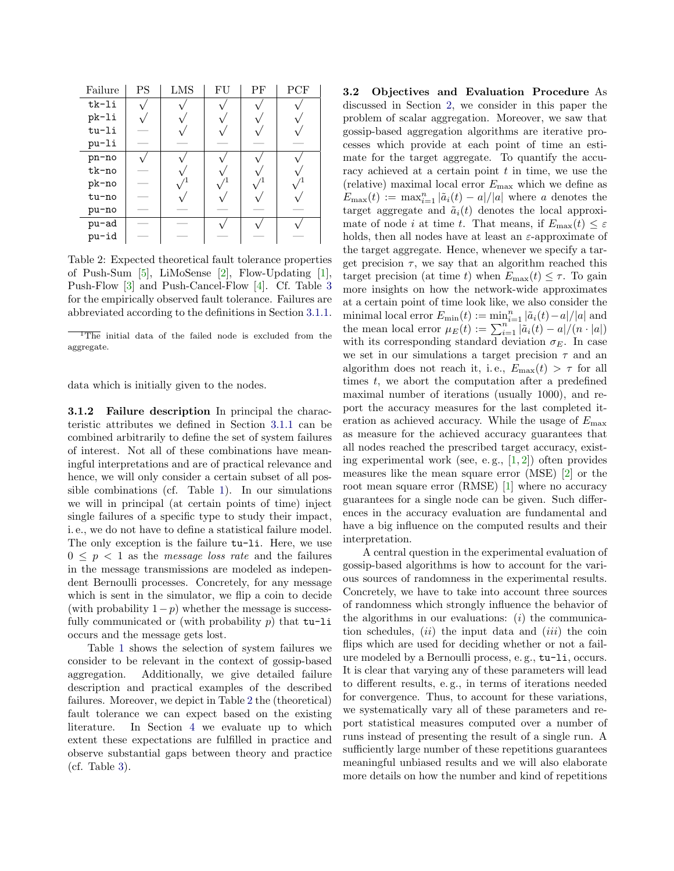| Failure | <b>PS</b> | LMS | FU | РF | PCF |
|---------|-----------|-----|----|----|-----|
| tk-li   |           |     |    |    |     |
| pk-li   |           |     |    |    |     |
| tu-li   |           |     |    |    |     |
| pu-li   |           |     |    |    |     |
| pn-no   |           |     |    |    |     |
| tk-no   |           |     |    |    |     |
| pk-no   |           |     |    |    |     |
| tu-no   |           |     |    |    |     |
| pu-no   |           |     |    |    |     |
| pu-ad   |           |     |    |    |     |
| pu-id   |           |     |    |    |     |

<span id="page-5-1"></span>Table 2: Expected theoretical fault tolerance properties of Push-Sum [\[5\]](#page-12-4), LiMoSense [\[2\]](#page-12-1), Flow-Updating [\[1\]](#page-12-0), Push-Flow [\[3\]](#page-12-2) and Push-Cancel-Flow [\[4\]](#page-12-3). Cf. Table [3](#page-11-1) for the empirically observed fault tolerance. Failures are abbreviated according to the definitions in Section [3.1.1.](#page-4-1)

<sup>1</sup>The initial data of the failed node is excluded from the aggregate.

data which is initially given to the nodes.

3.1.2 Failure description In principal the characteristic attributes we defined in Section [3.1.1](#page-4-1) can be combined arbitrarily to define the set of system failures of interest. Not all of these combinations have meaningful interpretations and are of practical relevance and hence, we will only consider a certain subset of all possible combinations (cf. Table [1\)](#page-6-0). In our simulations we will in principal (at certain points of time) inject single failures of a specific type to study their impact, i. e., we do not have to define a statistical failure model. The only exception is the failure tu-li. Here, we use  $0 \leq p \leq 1$  as the *message loss rate* and the failures in the message transmissions are modeled as independent Bernoulli processes. Concretely, for any message which is sent in the simulator, we flip a coin to decide (with probability  $1-p$ ) whether the message is successfully communicated or (with probability  $p$ ) that tu-li occurs and the message gets lost.

<span id="page-5-0"></span>Table [1](#page-6-0) shows the selection of system failures we consider to be relevant in the context of gossip-based aggregation. Additionally, we give detailed failure description and practical examples of the described failures. Moreover, we depict in Table [2](#page-5-1) the (theoretical) fault tolerance we can expect based on the existing literature. In Section [4](#page-10-0) we evaluate up to which extent these expectations are fulfilled in practice and observe substantial gaps between theory and practice (cf. Table [3\)](#page-11-1).

3.2 Objectives and Evaluation Procedure As discussed in Section [2,](#page-1-0) we consider in this paper the problem of scalar aggregation. Moreover, we saw that gossip-based aggregation algorithms are iterative processes which provide at each point of time an estimate for the target aggregate. To quantify the accuracy achieved at a certain point  $t$  in time, we use the (relative) maximal local error  $E_{\text{max}}$  which we define as  $E_{\text{max}}(t) := \max_{i=1}^{n} |\tilde{a}_i(t) - a|/|a|$  where a denotes the target aggregate and  $\tilde{a}_i(t)$  denotes the local approximate of node i at time t. That means, if  $E_{\text{max}}(t) \leq \varepsilon$ holds, then all nodes have at least an  $\varepsilon$ -approximate of the target aggregate. Hence, whenever we specify a target precision  $\tau$ , we say that an algorithm reached this target precision (at time t) when  $E_{\text{max}}(t) \leq \tau$ . To gain more insights on how the network-wide approximates at a certain point of time look like, we also consider the minimal local error  $E_{\min}(t) := \min_{i=1}^n |\tilde{a}_i(t) - a|/|a|$  and the mean local error  $\mu_E(t) := \sum_{i=1}^{n} |\tilde{a}_i(t) - a|/(n \cdot |a|)$ with its corresponding standard deviation  $\sigma_E$ . In case we set in our simulations a target precision  $\tau$  and an algorithm does not reach it, i.e.,  $E_{\text{max}}(t) > \tau$  for all times  $t$ , we abort the computation after a predefined maximal number of iterations (usually 1000), and report the accuracy measures for the last completed iteration as achieved accuracy. While the usage of  $E_{\text{max}}$ as measure for the achieved accuracy guarantees that all nodes reached the prescribed target accuracy, existing experimental work (see, e.g.,  $[1, 2]$  $[1, 2]$  $[1, 2]$ ) often provides measures like the mean square error (MSE) [\[2\]](#page-12-1) or the root mean square error (RMSE) [\[1\]](#page-12-0) where no accuracy guarantees for a single node can be given. Such differences in the accuracy evaluation are fundamental and have a big influence on the computed results and their interpretation.

A central question in the experimental evaluation of gossip-based algorithms is how to account for the various sources of randomness in the experimental results. Concretely, we have to take into account three sources of randomness which strongly influence the behavior of the algorithms in our evaluations:  $(i)$  the communication schedules,  $(ii)$  the input data and  $(iii)$  the coin flips which are used for deciding whether or not a failure modeled by a Bernoulli process, e. g., tu-li, occurs. It is clear that varying any of these parameters will lead to different results, e. g., in terms of iterations needed for convergence. Thus, to account for these variations, we systematically vary all of these parameters and report statistical measures computed over a number of runs instead of presenting the result of a single run. A sufficiently large number of these repetitions guarantees meaningful unbiased results and we will also elaborate more details on how the number and kind of repetitions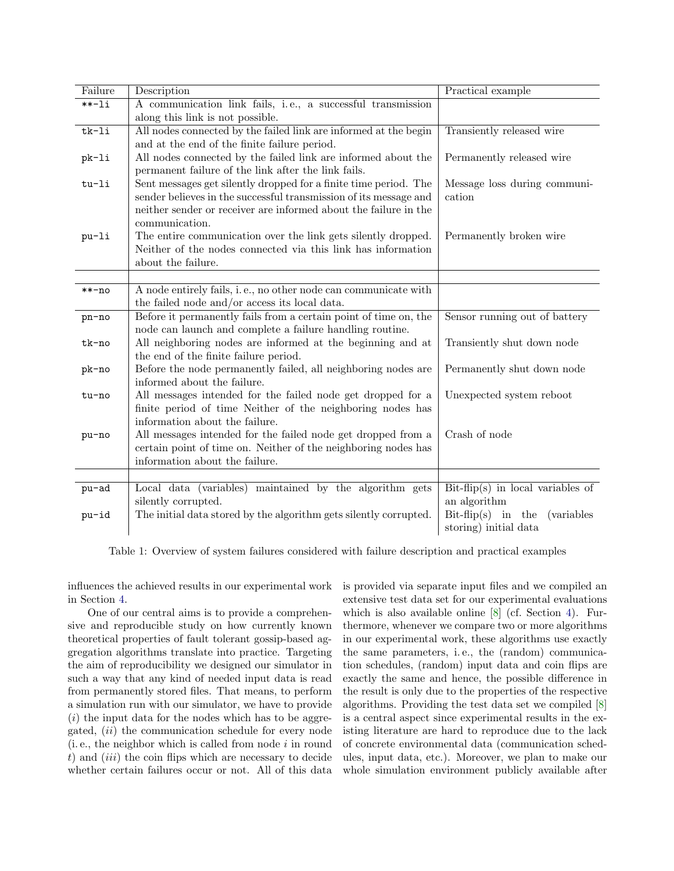| Failure  | Description                                                       | Practical example                          |
|----------|-------------------------------------------------------------------|--------------------------------------------|
| $***-1i$ | A communication link fails, i.e., a successful transmission       |                                            |
|          | along this link is not possible.                                  |                                            |
| $tk-li$  | All nodes connected by the failed link are informed at the begin  | Transiently released wire                  |
|          | and at the end of the finite failure period.                      |                                            |
| pk-li    | All nodes connected by the failed link are informed about the     | Permanently released wire                  |
|          | permanent failure of the link after the link fails.               |                                            |
| tu-li    | Sent messages get silently dropped for a finite time period. The  | Message loss during communi-               |
|          | sender believes in the successful transmission of its message and | cation                                     |
|          | neither sender or receiver are informed about the failure in the  |                                            |
|          | communication.                                                    |                                            |
| pu-li    | The entire communication over the link gets silently dropped.     | Permanently broken wire                    |
|          | Neither of the nodes connected via this link has information      |                                            |
|          | about the failure.                                                |                                            |
|          |                                                                   |                                            |
| $***-no$ | A node entirely fails, i.e., no other node can communicate with   |                                            |
|          | the failed node and/or access its local data.                     |                                            |
| pn-no    | Before it permanently fails from a certain point of time on, the  | Sensor running out of battery              |
|          | node can launch and complete a failure handling routine.          |                                            |
| tk-no    | All neighboring nodes are informed at the beginning and at        | Transiently shut down node                 |
|          | the end of the finite failure period.                             |                                            |
| pk-no    | Before the node permanently failed, all neighboring nodes are     | Permanently shut down node                 |
|          | informed about the failure.                                       |                                            |
| tu-no    | All messages intended for the failed node get dropped for a       | Unexpected system reboot                   |
|          | finite period of time Neither of the neighboring nodes has        |                                            |
|          | information about the failure.                                    |                                            |
| pu-no    | All messages intended for the failed node get dropped from a      | Crash of node                              |
|          | certain point of time on. Neither of the neighboring nodes has    |                                            |
|          | information about the failure.                                    |                                            |
|          |                                                                   |                                            |
| pu-ad    | Local data (variables) maintained by the algorithm gets           | $Bit-flip(s)$ in local variables of        |
|          | silently corrupted.                                               | an algorithm                               |
| pu-id    | The initial data stored by the algorithm gets silently corrupted. | $Bit-flip(s)$ in the<br><i>(variables)</i> |
|          |                                                                   | storing) initial data                      |

<span id="page-6-0"></span>Table 1: Overview of system failures considered with failure description and practical examples

influences the achieved results in our experimental work in Section [4.](#page-10-0)

One of our central aims is to provide a comprehensive and reproducible study on how currently known theoretical properties of fault tolerant gossip-based aggregation algorithms translate into practice. Targeting the aim of reproducibility we designed our simulator in such a way that any kind of needed input data is read from permanently stored files. That means, to perform a simulation run with our simulator, we have to provide  $(i)$  the input data for the nodes which has to be aggregated, (ii) the communication schedule for every node  $(i.e., the neighbor which is called from node  $i$  in round)$ t) and  $(iii)$  the coin flips which are necessary to decide whether certain failures occur or not. All of this data is provided via separate input files and we compiled an extensive test data set for our experimental evaluations which is also available online [\[8\]](#page-12-7) (cf. Section [4\)](#page-10-0). Furthermore, whenever we compare two or more algorithms in our experimental work, these algorithms use exactly the same parameters, i. e., the (random) communication schedules, (random) input data and coin flips are exactly the same and hence, the possible difference in the result is only due to the properties of the respective algorithms. Providing the test data set we compiled [\[8\]](#page-12-7) is a central aspect since experimental results in the existing literature are hard to reproduce due to the lack of concrete environmental data (communication schedules, input data, etc.). Moreover, we plan to make our whole simulation environment publicly available after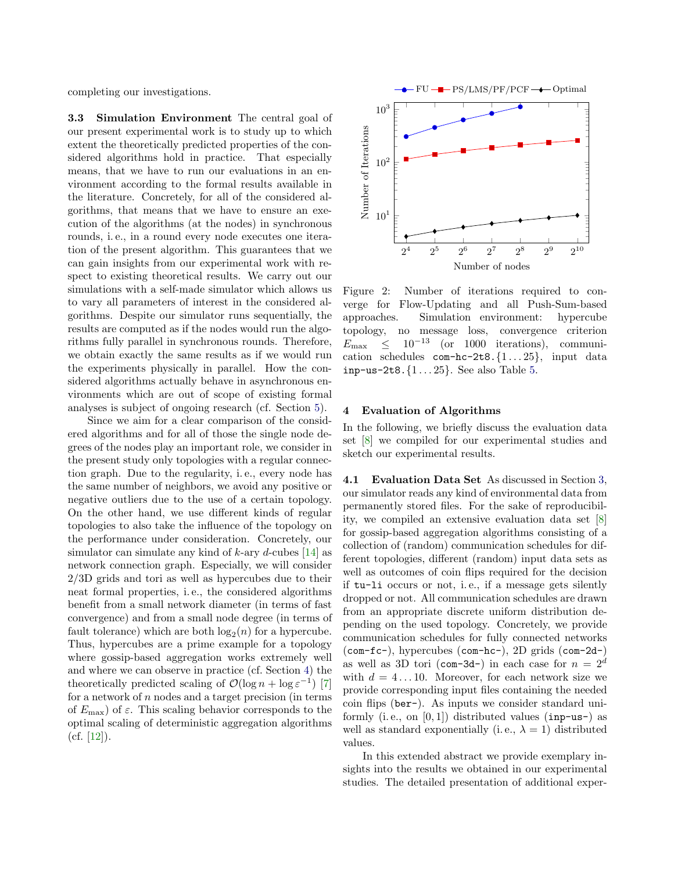completing our investigations.

3.3 Simulation Environment The central goal of our present experimental work is to study up to which extent the theoretically predicted properties of the considered algorithms hold in practice. That especially means, that we have to run our evaluations in an environment according to the formal results available in the literature. Concretely, for all of the considered algorithms, that means that we have to ensure an execution of the algorithms (at the nodes) in synchronous rounds, i. e., in a round every node executes one iteration of the present algorithm. This guarantees that we can gain insights from our experimental work with respect to existing theoretical results. We carry out our simulations with a self-made simulator which allows us to vary all parameters of interest in the considered algorithms. Despite our simulator runs sequentially, the results are computed as if the nodes would run the algorithms fully parallel in synchronous rounds. Therefore, we obtain exactly the same results as if we would run the experiments physically in parallel. How the considered algorithms actually behave in asynchronous environments which are out of scope of existing formal analyses is subject of ongoing research (cf. Section [5\)](#page-11-0).

Since we aim for a clear comparison of the considered algorithms and for all of those the single node degrees of the nodes play an important role, we consider in the present study only topologies with a regular connection graph. Due to the regularity, i. e., every node has the same number of neighbors, we avoid any positive or negative outliers due to the use of a certain topology. On the other hand, we use different kinds of regular topologies to also take the influence of the topology on the performance under consideration. Concretely, our simulator can simulate any kind of  $k$ -ary  $d$ -cubes [\[14\]](#page-12-13) as network connection graph. Especially, we will consider 2/3D grids and tori as well as hypercubes due to their neat formal properties, i. e., the considered algorithms benefit from a small network diameter (in terms of fast convergence) and from a small node degree (in terms of fault tolerance) which are both  $log_2(n)$  for a hypercube. Thus, hypercubes are a prime example for a topology where gossip-based aggregation works extremely well and where we can observe in practice (cf. Section [4\)](#page-10-0) the theoretically predicted scaling of  $\mathcal{O}(\log n + \log \varepsilon^{-1})$  [\[7\]](#page-12-6) for a network of  $n$  nodes and a target precision (in terms of  $E_{\text{max}}$ ) of  $\varepsilon$ . This scaling behavior corresponds to the optimal scaling of deterministic aggregation algorithms  $(cf. [12]).$  $(cf. [12]).$  $(cf. [12]).$ 



<span id="page-7-0"></span>Figure 2: Number of iterations required to converge for Flow-Updating and all Push-Sum-based approaches. Simulation environment: hypercube topology, no message loss, convergence criterion  $E_{\text{max}} \leq 10^{-13}$  (or 1000 iterations), communication schedules  $com-hc-2t8.\{1...25\}$ , input data inp-us-2t8. $\{1 \dots 25\}$ . See also Table [5.](#page-13-0)

## 4 Evaluation of Algorithms

In the following, we briefly discuss the evaluation data set [\[8\]](#page-12-7) we compiled for our experimental studies and sketch our experimental results.

4.1 Evaluation Data Set As discussed in Section [3,](#page-4-0) our simulator reads any kind of environmental data from permanently stored files. For the sake of reproducibility, we compiled an extensive evaluation data set [\[8\]](#page-12-7) for gossip-based aggregation algorithms consisting of a collection of (random) communication schedules for different topologies, different (random) input data sets as well as outcomes of coin flips required for the decision if tu-li occurs or not, i. e., if a message gets silently dropped or not. All communication schedules are drawn from an appropriate discrete uniform distribution depending on the used topology. Concretely, we provide communication schedules for fully connected networks (com-fc-), hypercubes (com-hc-), 2D grids (com-2d-) as well as 3D tori (com-3d-) in each case for  $n = 2^d$ with  $d = 4 \dots 10$ . Moreover, for each network size we provide corresponding input files containing the needed coin flips (ber-). As inputs we consider standard uniformly (i.e., on  $[0, 1]$ ) distributed values (inp-us-) as well as standard exponentially (i.e.,  $\lambda = 1$ ) distributed values.

In this extended abstract we provide exemplary insights into the results we obtained in our experimental studies. The detailed presentation of additional exper-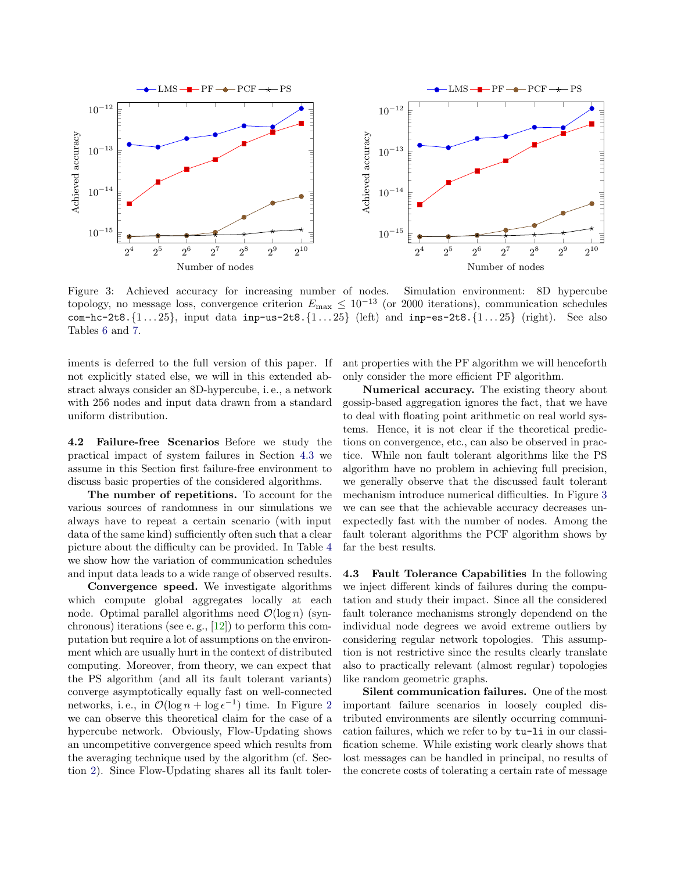

<span id="page-8-1"></span>Figure 3: Achieved accuracy for increasing number of nodes. Simulation environment: 8D hypercube topology, no message loss, convergence criterion  $E_{\text{max}} \leq 10^{-13}$  (or 2000 iterations), communication schedules com-hc-2t8. $\{1...25\}$ , input data inp-us-2t8. $\{1...25\}$  (left) and inp-es-2t8. $\{1...25\}$  (right). See also Tables [6](#page-13-1) and [7.](#page-13-2)

iments is deferred to the full version of this paper. If not explicitly stated else, we will in this extended abstract always consider an 8D-hypercube, i. e., a network with 256 nodes and input data drawn from a standard uniform distribution.

4.2 Failure-free Scenarios Before we study the practical impact of system failures in Section [4.3](#page-8-0) we assume in this Section first failure-free environment to discuss basic properties of the considered algorithms.

The number of repetitions. To account for the various sources of randomness in our simulations we always have to repeat a certain scenario (with input data of the same kind) sufficiently often such that a clear picture about the difficulty can be provided. In Table [4](#page-13-3) we show how the variation of communication schedules and input data leads to a wide range of observed results.

Convergence speed. We investigate algorithms which compute global aggregates locally at each node. Optimal parallel algorithms need  $\mathcal{O}(\log n)$  (synchronous) iterations (see e.g.,  $[12]$ ) to perform this computation but require a lot of assumptions on the environment which are usually hurt in the context of distributed computing. Moreover, from theory, we can expect that the PS algorithm (and all its fault tolerant variants) converge asymptotically equally fast on well-connected networks, i.e., in  $\mathcal{O}(\log n + \log \epsilon^{-1})$  time. In Figure [2](#page-7-0) we can observe this theoretical claim for the case of a hypercube network. Obviously, Flow-Updating shows an uncompetitive convergence speed which results from the averaging technique used by the algorithm (cf. Section [2\)](#page-1-0). Since Flow-Updating shares all its fault tolerant properties with the PF algorithm we will henceforth only consider the more efficient PF algorithm.

Numerical accuracy. The existing theory about gossip-based aggregation ignores the fact, that we have to deal with floating point arithmetic on real world systems. Hence, it is not clear if the theoretical predictions on convergence, etc., can also be observed in practice. While non fault tolerant algorithms like the PS algorithm have no problem in achieving full precision, we generally observe that the discussed fault tolerant mechanism introduce numerical difficulties. In Figure [3](#page-8-1) we can see that the achievable accuracy decreases unexpectedly fast with the number of nodes. Among the fault tolerant algorithms the PCF algorithm shows by far the best results.

<span id="page-8-0"></span>4.3 Fault Tolerance Capabilities In the following we inject different kinds of failures during the computation and study their impact. Since all the considered fault tolerance mechanisms strongly dependend on the individual node degrees we avoid extreme outliers by considering regular network topologies. This assumption is not restrictive since the results clearly translate also to practically relevant (almost regular) topologies like random geometric graphs.

Silent communication failures. One of the most important failure scenarios in loosely coupled distributed environments are silently occurring communication failures, which we refer to by tu-li in our classification scheme. While existing work clearly shows that lost messages can be handled in principal, no results of the concrete costs of tolerating a certain rate of message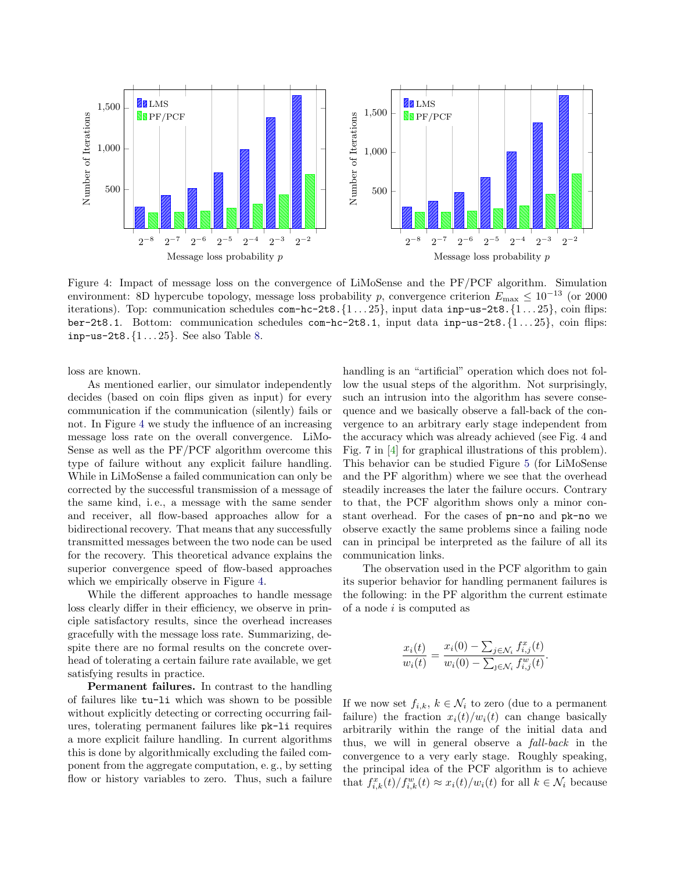

<span id="page-9-0"></span>Figure 4: Impact of message loss on the convergence of LiMoSense and the PF/PCF algorithm. Simulation environment: 8D hypercube topology, message loss probability p, convergence criterion  $E_{\text{max}} \leq 10^{-13}$  (or 2000 iterations). Top: communication schedules  $com-hc-2t8.\{1...25\}$ , input data inp-us-2t8. $\{1...25\}$ , coin flips: ber-2t8.1. Bottom: communication schedules  $com-hc-2t8.1$ , input data inp-us-2t8. $\{1 \ldots 25\}$ , coin flips: inp-us-2t8.{1 . . . 25}. See also Table [8.](#page-14-0)

loss are known.

As mentioned earlier, our simulator independently decides (based on coin flips given as input) for every communication if the communication (silently) fails or not. In Figure [4](#page-9-0) we study the influence of an increasing message loss rate on the overall convergence. LiMo-Sense as well as the PF/PCF algorithm overcome this type of failure without any explicit failure handling. While in LiMoSense a failed communication can only be corrected by the successful transmission of a message of the same kind, i. e., a message with the same sender and receiver, all flow-based approaches allow for a bidirectional recovery. That means that any successfully transmitted messages between the two node can be used for the recovery. This theoretical advance explains the superior convergence speed of flow-based approaches which we empirically observe in Figure [4.](#page-9-0)

While the different approaches to handle message loss clearly differ in their efficiency, we observe in principle satisfactory results, since the overhead increases gracefully with the message loss rate. Summarizing, despite there are no formal results on the concrete overhead of tolerating a certain failure rate available, we get satisfying results in practice.

Permanent failures. In contrast to the handling of failures like tu-li which was shown to be possible without explicitly detecting or correcting occurring failures, tolerating permanent failures like pk-li requires a more explicit failure handling. In current algorithms this is done by algorithmically excluding the failed component from the aggregate computation, e. g., by setting flow or history variables to zero. Thus, such a failure

handling is an "artificial" operation which does not follow the usual steps of the algorithm. Not surprisingly, such an intrusion into the algorithm has severe consequence and we basically observe a fall-back of the convergence to an arbitrary early stage independent from the accuracy which was already achieved (see Fig. 4 and Fig. 7 in [\[4\]](#page-12-3) for graphical illustrations of this problem). This behavior can be studied Figure [5](#page-11-2) (for LiMoSense and the PF algorithm) where we see that the overhead steadily increases the later the failure occurs. Contrary to that, the PCF algorithm shows only a minor constant overhead. For the cases of pn-no and pk-no we observe exactly the same problems since a failing node can in principal be interpreted as the failure of all its communication links.

The observation used in the PCF algorithm to gain its superior behavior for handling permanent failures is the following: in the PF algorithm the current estimate of a node i is computed as

$$
\frac{x_i(t)}{w_i(t)} = \frac{x_i(0) - \sum_{j \in \mathcal{N}_i} f_{i,j}^x(t)}{w_i(0) - \sum_{j \in \mathcal{N}_i} f_{i,j}^w(t)}.
$$

If we now set  $f_{i,k}, k \in \mathcal{N}_i$  to zero (due to a permanent failure) the fraction  $x_i(t)/w_i(t)$  can change basically arbitrarily within the range of the initial data and thus, we will in general observe a fall-back in the convergence to a very early stage. Roughly speaking, the principal idea of the PCF algorithm is to achieve that  $f_{i,k}^x(t)/f_{i,k}^w(t) \approx x_i(t)/w_i(t)$  for all  $k \in \mathcal{N}_i$  because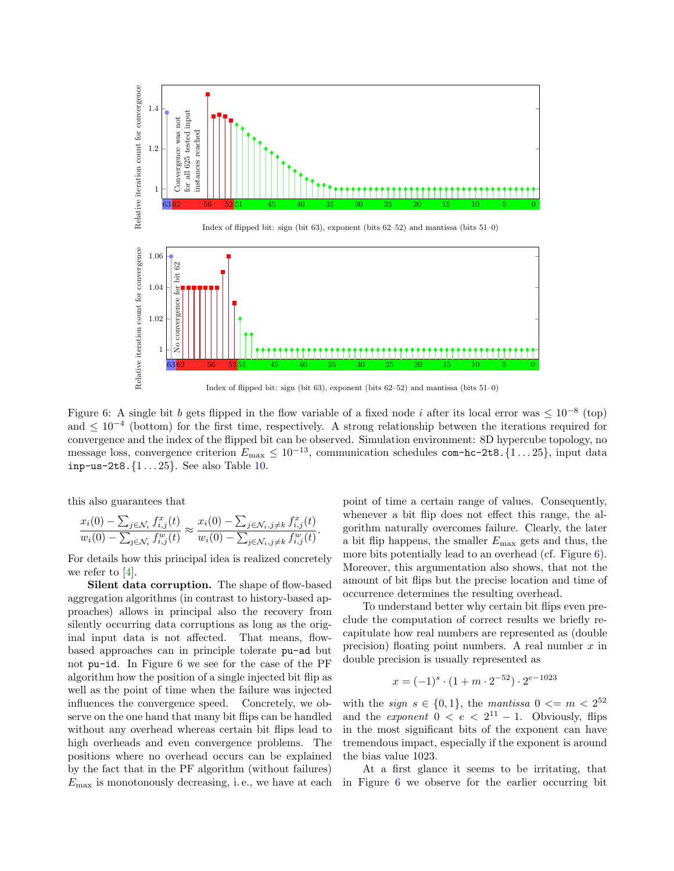

<span id="page-10-0"></span>Figure 6: A single bit b gets flipped in the flow variable of a fixed node i after its local error was  $\leq 10^{-8}$  (top) and  $\leq 10^{-4}$  (bottom) for the first time, respectively. A strong relationship between the iterations required for convergence and the index of the flipped bit can be observed. Simulation environment: 8D hypercube topology, no message loss, convergence criterion  $E_{\text{max}} \leq 10^{-13}$ , communication schedules com-hc-2t8. {1...25}, input data inp-us-2t8.{1 . . . 25}. See also Table [10.](#page-14-1)

.

this also guarantees that

$$
\frac{x_i(0) - \sum_{j \in \mathcal{N}_i} f_{i,j}^x(t)}{w_i(0) - \sum_{j \in \mathcal{N}_i} f_{i,j}^w(t)} \approx \frac{x_i(0) - \sum_{j \in \mathcal{N}_i, j \neq k} f_{i,j}^x(t)}{w_i(0) - \sum_{j \in \mathcal{N}_i, j \neq k} f_{i,j}^w(t)}
$$

For details how this principal idea is realized concretely we refer to [\[4\]](#page-12-3).

Silent data corruption. The shape of flow-based aggregation algorithms (in contrast to history-based approaches) allows in principal also the recovery from silently occurring data corruptions as long as the original input data is not affected. That means, flowbased approaches can in principle tolerate pu-ad but not pu-id. In Figure [6](#page-10-0) we see for the case of the PF algorithm how the position of a single injected bit flip as well as the point of time when the failure was injected influences the convergence speed. Concretely, we observe on the one hand that many bit flips can be handled without any overhead whereas certain bit flips lead to high overheads and even convergence problems. The positions where no overhead occurs can be explained by the fact that in the PF algorithm (without failures)  $E_{\text{max}}$  is monotonously decreasing, i.e., we have at each point of time a certain range of values. Consequently, whenever a bit flip does not effect this range, the algorithm naturally overcomes failure. Clearly, the later a bit flip happens, the smaller  $E_{\text{max}}$  gets and thus, the more bits potentially lead to an overhead (cf. Figure [6\)](#page-10-0). Moreover, this argumentation also shows, that not the amount of bit flips but the precise location and time of occurrence determines the resulting overhead.

To understand better why certain bit flips even preclude the computation of correct results we briefly recapitulate how real numbers are represented as (double precision) floating point numbers. A real number  $x$  in double precision is usually represented as

$$
x = (-1)^s \cdot (1 + m \cdot 2^{-52}) \cdot 2^{e - 1023}
$$

with the *sign*  $s \in \{0,1\}$ , the *mantissa*  $0 \leq m \leq 2^{52}$ and the *exponent*  $0 \lt e \lt 2^{11} - 1$ . Obviously, flips in the most significant bits of the exponent can have tremendous impact, especially if the exponent is around the bias value 1023.

At a first glance it seems to be irritating, that in Figure [6](#page-10-0) we observe for the earlier occurring bit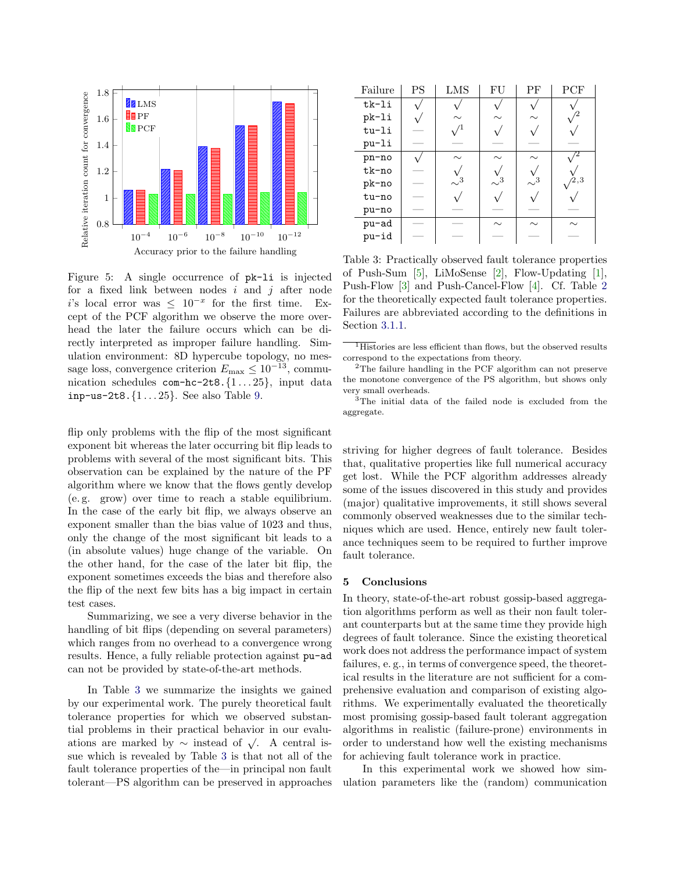![](_page_11_Figure_0.jpeg)

<span id="page-11-2"></span>Figure 5: A single occurrence of pk-li is injected for a fixed link between nodes  $i$  and  $j$  after node i's local error was  $\leq 10^{-x}$  for the first time. Except of the PCF algorithm we observe the more overhead the later the failure occurs which can be directly interpreted as improper failure handling. Simulation environment: 8D hypercube topology, no message loss, convergence criterion  $E_{\text{max}} \leq 10^{-13}$ , communication schedules  $com-hc-2t8.\{1...25\}$ , input data inp-us-2t8. $\{1 \dots 25\}$ . See also Table [9.](#page-14-2)

flip only problems with the flip of the most significant exponent bit whereas the later occurring bit flip leads to problems with several of the most significant bits. This observation can be explained by the nature of the PF algorithm where we know that the flows gently develop (e. g. grow) over time to reach a stable equilibrium. In the case of the early bit flip, we always observe an exponent smaller than the bias value of 1023 and thus, only the change of the most significant bit leads to a (in absolute values) huge change of the variable. On the other hand, for the case of the later bit flip, the exponent sometimes exceeds the bias and therefore also the flip of the next few bits has a big impact in certain test cases.

Summarizing, we see a very diverse behavior in the handling of bit flips (depending on several parameters) which ranges from no overhead to a convergence wrong results. Hence, a fully reliable protection against pu-ad can not be provided by state-of-the-art methods.

In Table [3](#page-11-1) we summarize the insights we gained by our experimental work. The purely theoretical fault tolerance properties for which we observed substantial problems in their practical behavior in our evaluations are marked by  $\sim$  instead of  $\sqrt{\cdot}$ . A central issue which is revealed by Table [3](#page-11-1) is that not all of the fault tolerance properties of the—in principal non fault tolerant—PS algorithm can be preserved in approaches

| Failure | <b>PS</b> | LMS      | FU       | PF       | PCF    |
|---------|-----------|----------|----------|----------|--------|
| tk-li   |           |          |          |          |        |
| pk-li   |           | $\sim$   |          | $\sim$   |        |
| tu-li   |           |          |          |          |        |
| pu-li   |           |          |          |          |        |
| pn-no   |           | $\sim$   | $\sim$   | $\sim$   |        |
| tk-no   |           |          |          |          |        |
| pk-no   |           | $\sim^3$ | $\sim^3$ | $\sim^3$ | 2,3    |
| tu-no   |           |          |          |          |        |
| pu-no   |           |          |          |          |        |
| pu-ad   |           |          | $\sim$   | $\sim$   | $\sim$ |
| pu-id   |           |          |          |          |        |

<span id="page-11-1"></span>Table 3: Practically observed fault tolerance properties of Push-Sum [\[5\]](#page-12-4), LiMoSense [\[2\]](#page-12-1), Flow-Updating [\[1\]](#page-12-0), Push-Flow [\[3\]](#page-12-2) and Push-Cancel-Flow [\[4\]](#page-12-3). Cf. Table [2](#page-5-1) for the theoretically expected fault tolerance properties. Failures are abbreviated according to the definitions in Section [3.1.1.](#page-4-1)

striving for higher degrees of fault tolerance. Besides that, qualitative properties like full numerical accuracy get lost. While the PCF algorithm addresses already some of the issues discovered in this study and provides (major) qualitative improvements, it still shows several commonly observed weaknesses due to the similar techniques which are used. Hence, entirely new fault tolerance techniques seem to be required to further improve fault tolerance.

### <span id="page-11-0"></span>5 Conclusions

In theory, state-of-the-art robust gossip-based aggregation algorithms perform as well as their non fault tolerant counterparts but at the same time they provide high degrees of fault tolerance. Since the existing theoretical work does not address the performance impact of system failures, e. g., in terms of convergence speed, the theoretical results in the literature are not sufficient for a comprehensive evaluation and comparison of existing algorithms. We experimentally evaluated the theoretically most promising gossip-based fault tolerant aggregation algorithms in realistic (failure-prone) environments in order to understand how well the existing mechanisms for achieving fault tolerance work in practice.

In this experimental work we showed how simulation parameters like the (random) communication

 $\overline{\hbox{1-Histories}}$  are less efficient than flows, but the observed results correspond to the expectations from theory.

<sup>2</sup>The failure handling in the PCF algorithm can not preserve the monotone convergence of the PS algorithm, but shows only very small overheads.

<sup>&</sup>lt;sup>3</sup>The initial data of the failed node is excluded from the aggregate.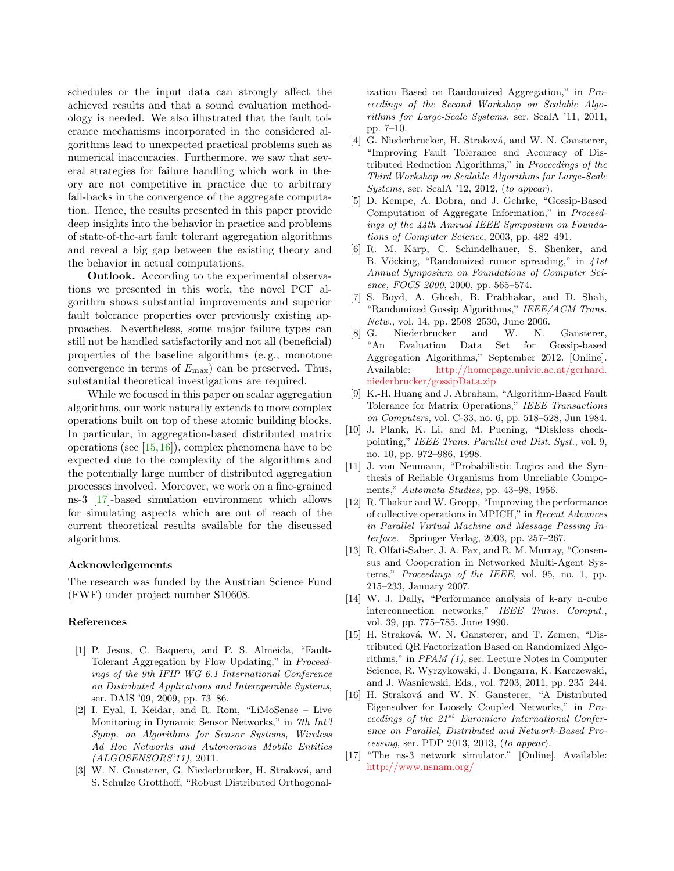schedules or the input data can strongly affect the achieved results and that a sound evaluation methodology is needed. We also illustrated that the fault tolerance mechanisms incorporated in the considered algorithms lead to unexpected practical problems such as numerical inaccuracies. Furthermore, we saw that several strategies for failure handling which work in theory are not competitive in practice due to arbitrary fall-backs in the convergence of the aggregate computation. Hence, the results presented in this paper provide deep insights into the behavior in practice and problems of state-of-the-art fault tolerant aggregation algorithms and reveal a big gap between the existing theory and the behavior in actual computations.

Outlook. According to the experimental observations we presented in this work, the novel PCF algorithm shows substantial improvements and superior fault tolerance properties over previously existing approaches. Nevertheless, some major failure types can still not be handled satisfactorily and not all (beneficial) properties of the baseline algorithms (e. g., monotone convergence in terms of  $E_{\text{max}}$  can be preserved. Thus, substantial theoretical investigations are required.

While we focused in this paper on scalar aggregation algorithms, our work naturally extends to more complex operations built on top of these atomic building blocks. In particular, in aggregation-based distributed matrix operations (see [\[15,](#page-12-14)[16\]](#page-12-15)), complex phenomena have to be expected due to the complexity of the algorithms and the potentially large number of distributed aggregation processes involved. Moreover, we work on a fine-grained ns-3 [\[17\]](#page-12-16)-based simulation environment which allows for simulating aspects which are out of reach of the current theoretical results available for the discussed algorithms.

### Acknowledgements

The research was funded by the Austrian Science Fund (FWF) under project number S10608.

#### References

- <span id="page-12-0"></span>[1] P. Jesus, C. Baquero, and P. S. Almeida, "Fault-Tolerant Aggregation by Flow Updating," in Proceedings of the 9th IFIP WG 6.1 International Conference on Distributed Applications and Interoperable Systems, ser. DAIS '09, 2009, pp. 73–86.
- <span id="page-12-1"></span>[2] I. Eyal, I. Keidar, and R. Rom, "LiMoSense – Live Monitoring in Dynamic Sensor Networks," in 7th Int'l Symp. on Algorithms for Sensor Systems, Wireless Ad Hoc Networks and Autonomous Mobile Entities (ALGOSENSORS'11), 2011.
- <span id="page-12-2"></span>[3] W. N. Gansterer, G. Niederbrucker, H. Straková, and S. Schulze Grotthoff, "Robust Distributed Orthogonal-

ization Based on Randomized Aggregation," in Proceedings of the Second Workshop on Scalable Algorithms for Large-Scale Systems, ser. ScalA '11, 2011, pp. 7–10.

- <span id="page-12-3"></span>[4] G. Niederbrucker, H. Straková, and W. N. Gansterer, "Improving Fault Tolerance and Accuracy of Distributed Reduction Algorithms," in Proceedings of the Third Workshop on Scalable Algorithms for Large-Scale Systems, ser. ScalA '12, 2012, (to appear).
- <span id="page-12-4"></span>[5] D. Kempe, A. Dobra, and J. Gehrke, "Gossip-Based Computation of Aggregate Information," in Proceedings of the 44th Annual IEEE Symposium on Foundations of Computer Science, 2003, pp. 482–491.
- <span id="page-12-5"></span>[6] R. M. Karp, C. Schindelhauer, S. Shenker, and B. Vöcking, "Randomized rumor spreading," in  $41st$ Annual Symposium on Foundations of Computer Science, FOCS 2000, 2000, pp. 565–574.
- <span id="page-12-6"></span>[7] S. Boyd, A. Ghosh, B. Prabhakar, and D. Shah, "Randomized Gossip Algorithms," IEEE/ACM Trans. Netw., vol. 14, pp. 2508–2530, June 2006.
- <span id="page-12-7"></span>[8] G. Niederbrucker and W. N. Gansterer, "An Evaluation Data Set for Gossip-based Aggregation Algorithms," September 2012. [Online]. Available: [http://homepage.univie.ac.at/gerhard.](http://homepage.univie.ac.at/gerhard.niederbrucker/gossipData.zip) [niederbrucker/gossipData.zip](http://homepage.univie.ac.at/gerhard.niederbrucker/gossipData.zip)
- <span id="page-12-8"></span>[9] K.-H. Huang and J. Abraham, "Algorithm-Based Fault Tolerance for Matrix Operations," IEEE Transactions on Computers, vol. C-33, no. 6, pp. 518–528, Jun 1984.
- <span id="page-12-9"></span>[10] J. Plank, K. Li, and M. Puening, "Diskless checkpointing," IEEE Trans. Parallel and Dist. Syst., vol. 9, no. 10, pp. 972–986, 1998.
- <span id="page-12-10"></span>[11] J. von Neumann, "Probabilistic Logics and the Synthesis of Reliable Organisms from Unreliable Components," Automata Studies, pp. 43–98, 1956.
- <span id="page-12-11"></span>[12] R. Thakur and W. Gropp, "Improving the performance of collective operations in MPICH," in Recent Advances in Parallel Virtual Machine and Message Passing Interface. Springer Verlag, 2003, pp. 257–267.
- <span id="page-12-12"></span>[13] R. Olfati-Saber, J. A. Fax, and R. M. Murray, "Consensus and Cooperation in Networked Multi-Agent Systems," Proceedings of the IEEE, vol. 95, no. 1, pp. 215–233, January 2007.
- <span id="page-12-13"></span>[14] W. J. Dally, "Performance analysis of k-ary n-cube interconnection networks," IEEE Trans. Comput., vol. 39, pp. 775–785, June 1990.
- <span id="page-12-14"></span>[15] H. Straková, W. N. Gansterer, and T. Zemen, "Distributed QR Factorization Based on Randomized Algorithms," in PPAM (1), ser. Lecture Notes in Computer Science, R. Wyrzykowski, J. Dongarra, K. Karczewski, and J. Wasniewski, Eds., vol. 7203, 2011, pp. 235–244.
- <span id="page-12-15"></span>[16] H. Straková and W. N. Gansterer, "A Distributed Eigensolver for Loosely Coupled Networks," in Proceedings of the  $21^{st}$  Euromicro International Conference on Parallel, Distributed and Network-Based Processing, ser. PDP 2013, 2013, (to appear).
- <span id="page-12-16"></span>[17] "The ns-3 network simulator." [Online]. Available: <http://www.nsnam.org/>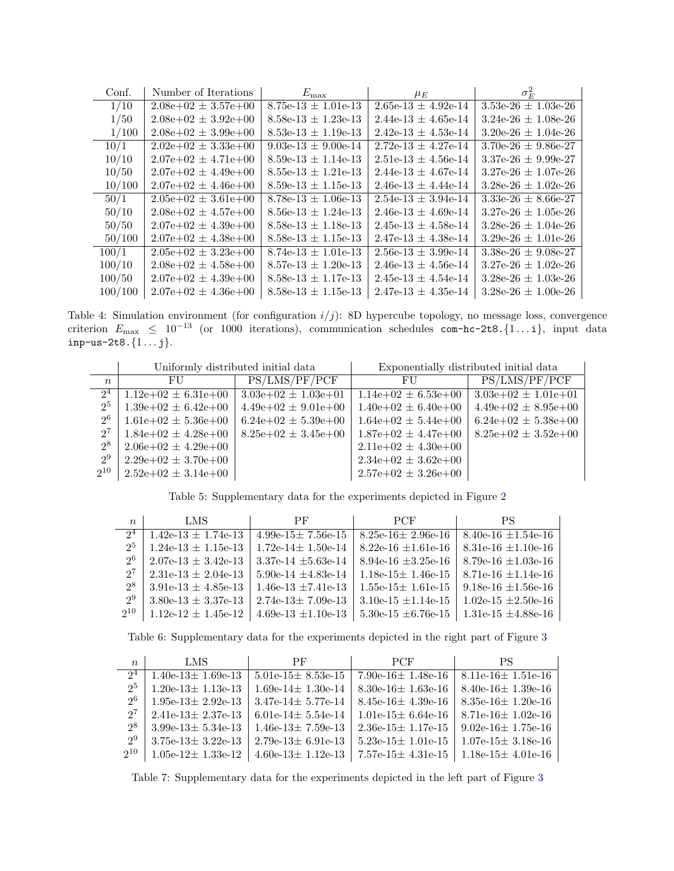| Conf.   | Number of Iterations    | $E_{\rm max}$                           | $\mu_E$                 | $\sigma_F^2$            |
|---------|-------------------------|-----------------------------------------|-------------------------|-------------------------|
| 1/10    | $2.08e+02 \pm 3.57e+00$ | $8.75e-13 \pm 1.01e-13$                 | $2.65e-13 \pm 4.92e-14$ | $3.53e-26 \pm 1.03e-26$ |
| 1/50    | $2.08e+02 \pm 3.92e+00$ | $8.58e-13 \pm 1.23e-13$                 | $2.44e-13 \pm 4.65e-14$ | $3.24e-26 \pm 1.08e-26$ |
| 1/100   | $2.08e+02 \pm 3.99e+00$ | $8.53e-13 \pm 1.19e-13$                 | $2.42e-13 \pm 4.53e-14$ | $3.20e-26 \pm 1.04e-26$ |
| 10/1    | $2.02e+02 \pm 3.33e+00$ | 9.03e-13 $\pm$ 9.00e-14                 | $2.72e-13 + 4.27e-14$   | $3.70e-26 \pm 9.86e-27$ |
| 10/10   | $2.07e+02 \pm 4.71e+00$ | $8.59e-13 \pm 1.14e-13$                 | $2.51e-13 \pm 4.56e-14$ | $3.37e-26 \pm 9.99e-27$ |
| 10/50   | $2.07e+02 \pm 4.49e+00$ | $8.55e-13 \pm 1.21e-13$                 | $2.44e-13 \pm 4.67e-14$ | $3.27e-26 \pm 1.07e-26$ |
| 10/100  | $2.07e+02 \pm 4.46e+00$ | $8.59e-13 \pm 1.15e-13$                 | $2.46e-13 \pm 4.44e-14$ | $3.28e-26 \pm 1.02e-26$ |
| 50/1    | $2.05e+02 \pm 3.61e+00$ | $8.78 \text{e}-13 \pm 1.06 \text{e}-13$ | $2.54e-13 \pm 3.94e-14$ | $3.33e-26 \pm 8.66e-27$ |
| 50/10   | $2.08e+02 \pm 4.57e+00$ | $8.56e-13 \pm 1.24e-13$                 | $2.46e-13 \pm 4.69e-14$ | $3.27e-26 \pm 1.05e-26$ |
| 50/50   | $2.07e+02 \pm 4.39e+00$ | $8.58e-13 \pm 1.18e-13$                 | $2.45e-13 \pm 4.58e-14$ | $3.28e-26 \pm 1.04e-26$ |
| 50/100  | $2.07e+02 \pm 4.38e+00$ | $8.58e-13 \pm 1.15e-13$                 | $2.47e-13 \pm 4.38e-14$ | $3.29e-26 \pm 1.01e-26$ |
| 100/1   | $2.05e+02 \pm 3.23e+00$ | $8.74e-13 \pm 1.01e-13$                 | $2.56e-13 \pm 3.99e-14$ | $3.38e-26 \pm 9.08e-27$ |
| 100/10  | $2.08e+02 \pm 4.58e+00$ | $8.57e-13 \pm 1.20e-13$                 | $2.46e-13 \pm 4.56e-14$ | $3.27e-26 \pm 1.02e-26$ |
| 100/50  | $2.07e+02 \pm 4.39e+00$ | $8.58e-13 \pm 1.17e-13$                 | $2.45e-13 \pm 4.54e-14$ | $3.28e-26 \pm 1.03e-26$ |
| 100/100 | $2.07e+02 \pm 4.36e+00$ | $8.58e-13 \pm 1.15e-13$                 | $2.47e-13 \pm 4.35e-14$ | $3.28e-26 \pm 1.00e-26$ |

<span id="page-13-3"></span>Table 4: Simulation environment (for configuration  $i/j$ ): 8D hypercube topology, no message loss, convergence criterion  $E_{\text{max}} \leq 10^{-13}$  (or 1000 iterations), communication schedules com-hc-2t8. {1... i}, input data  $inp-us-2t8.\{1...\ j\}.$ 

|                | Uniformly distributed initial data |                         | Exponentially distributed initial data |                         |
|----------------|------------------------------------|-------------------------|----------------------------------------|-------------------------|
| $n_{\rm c}$    | FU                                 | PS/LMS/PF/PCF           | FU                                     | PS/LMS/PF/PCF           |
| $2^4$          | $1.12e+02 \pm 6.31e+00$            | $3.03e+02 \pm 1.03e+01$ | $1.14e+02 \pm 6.53e+00$                | $3.03e+02 \pm 1.01e+01$ |
| 2 <sup>5</sup> | $1.39e+02 \pm 6.42e+00$            | $4.49e+02 \pm 9.01e+00$ | $1.40e+02 \pm 6.40e+00$                | $4.49e+02 \pm 8.95e+00$ |
| 2 <sup>6</sup> | $1.61e+02 \pm 5.36e+00$            | $6.24e+02 \pm 5.39e+00$ | $1.64e+02 \pm 5.44e+00$                | $6.24e+02 \pm 5.38e+00$ |
| $2^7$          | $1.84e+02 \pm 4.28e+00$            | $8.25e+02 \pm 3.45e+00$ | $1.87e+02 \pm 4.47e+00$                | $8.25e+02 \pm 3.52e+00$ |
| $2^8$          | $2.06e+02 \pm 4.29e+00$            |                         | $2.11e+02 \pm 4.30e+00$                |                         |
| $2^9$          | $2.29e+02 \pm 3.70e+00$            |                         | $2.34e+02 \pm 3.62e+00$                |                         |
| $2^{10}$       | $2.52e+02 \pm 3.14e+00$            |                         | $2.57e+02 \pm 3.26e+00$                |                         |

<span id="page-13-0"></span>Table 5: Supplementary data for the experiments depicted in Figure [2](#page-7-0)

| $\boldsymbol{n}$ | LMS                     | $\rm PF$                 | PCF                      | ΡS                       |
|------------------|-------------------------|--------------------------|--------------------------|--------------------------|
| 2 <sup>4</sup>   | $1.42e-13 \pm 1.74e-13$ | $4.99e-15 \pm 7.56e-15$  | $8.25e-16 \pm 2.96e-16$  | $8.40e-16 \pm 1.54e-16$  |
| 2 <sup>5</sup>   | $1.24e-13 \pm 1.15e-13$ | $1.72e-14 \pm 1.50e-14$  | 8.22e-16 $\pm 1.61$ e-16 | 8.31e-16 $\pm$ 1.10e-16  |
| 26               | $2.07e-13 \pm 3.42e-13$ | 3.37e-14 $\pm$ 5.63e-14  | $8.94e-16 \pm 3.25e-16$  | 8.79e-16 $\pm 1.03$ e-16 |
| $2^7$            | $2.31e-13 \pm 2.04e-13$ | 5.90e-14 $\pm 4.83$ e-14 | $1.18e-15 \pm 1.46e-15$  | 8.71e-16 $\pm$ 1.14e-16  |
| 2 <sup>8</sup>   | $3.91e-13 \pm 4.85e-13$ | $1.46e-13 \pm 7.41e-13$  | $1.55e-15\pm 1.61e-15$   | 9.18e-16 $\pm$ 1.56e-16  |
| 2 <sup>9</sup>   | $3.80e-13 \pm 3.37e-13$ | $2.74e-13 \pm 7.09e-13$  | 3.10e-15 $\pm$ 1.14e-15  | 1.02e-15 $\pm 2.50e$ -16 |
| $2^{10}$         | $1.12e-12 \pm 1.45e-12$ | 4.69e-13 $\pm 1.10e-13$  | 5.30e-15 $\pm$ 6.76e-15  | 1.31e-15 $\pm 4.88$ e-16 |

<span id="page-13-1"></span>Table 6: Supplementary data for the experiments depicted in the right part of Figure [3](#page-8-1)

| $\boldsymbol{n}$ | LMS                     | PF                      | <b>PCF</b>              | PS                      |
|------------------|-------------------------|-------------------------|-------------------------|-------------------------|
| 2 <sup>4</sup>   | $1.40e-13 \pm 1.69e-13$ | $5.01e-15\pm 8.53e-15$  | 7.90e-16 $\pm$ 1.48e-16 | $8.11e-16 \pm 1.51e-16$ |
| 2 <sup>5</sup>   | $1.20e-13 \pm 1.13e-13$ | $1.69e-14 \pm 1.30e-14$ | 8.30e-16 $\pm$ 1.63e-16 | $8.40e-16 \pm 1.39e-16$ |
| 2 <sup>6</sup>   | 1.95e-13 $\pm$ 2.92e-13 | $3.47e-14 \pm 5.77e-14$ | $8.45e-16 \pm 4.39e-16$ | 8.35e-16 $\pm$ 1.20e-16 |
| $2^{7}$          | $2.41e-13 \pm 2.37e-13$ | 6.01e-14 $\pm$ 5.54e-14 | $1.01e-15 \pm 6.64e-16$ | $8.71e-16 \pm 1.02e-16$ |
| $2^8$            | $3.99e-13 \pm 5.34e-13$ | $1.46e-13 \pm 7.59e-13$ | $2.36e-15 \pm 1.17e-15$ | 9.02e-16 $\pm$ 1.75e-16 |
| 2 <sup>9</sup>   | $3.75e-13 \pm 3.22e-13$ | $2.79e-13 \pm 6.91e-13$ | $5.23e-15 \pm 1.01e-15$ | $1.07e-15 \pm 3.18e-16$ |
| $2^{10}$         | $1.05e-12 \pm 1.33e-12$ | $4.60e-13 \pm 1.12e-13$ | $7.57e-15 \pm 4.31e-15$ | $1.18e-15 \pm 4.01e-16$ |

<span id="page-13-2"></span>Table 7: Supplementary data for the experiments depicted in the left part of Figure [3](#page-8-1)